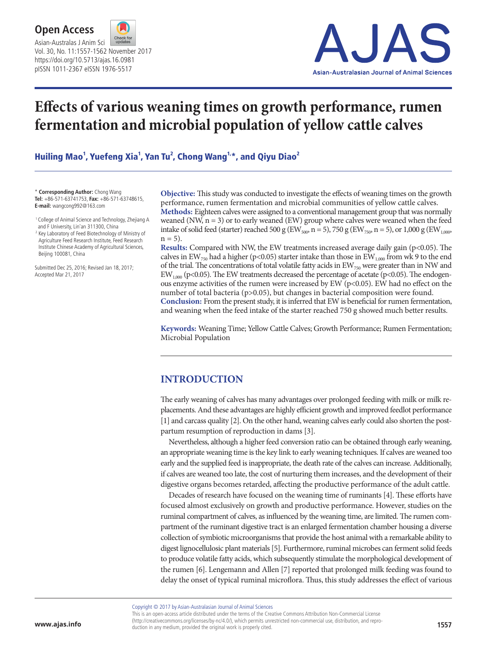



# **Effects of various weaning times on growth performance, rumen fermentation and microbial population of yellow cattle calves**

Huiling Mao<sup>1</sup>, Yuefeng Xia<sup>1</sup>, Yan Tu<sup>2</sup>, Chong Wang<sup>1,</sup>\*, and Qiyu Diao<sup>2</sup>

\* **Corresponding Author:** Chong Wang **Tel:** +86-571-63741753, **Fax:** +86-571-63748615, **E-mail:** wangcong992@163.com

 1 College of Animal Science and Technology, Zhejiang A and F University, Lin'an 311300, China

<sup>2</sup> Key Laboratory of Feed Biotechnology of Ministry of Agriculture Feed Research Institute, Feed Research Institute Chinese Academy of Agricultural Sciences, Beijing 100081, China

Submitted Dec 25, 2016; Revised Jan 18, 2017; Accepted Mar 21, 2017

**Objective:** This study was conducted to investigate the effects of weaning times on the growth performance, rumen fermentation and microbial communities of yellow cattle calves. **Methods:** Eighteen calves were assigned to a conventional management group that was normally weaned (NW,  $n = 3$ ) or to early weaned (EW) group where calves were weaned when the feed

intake of solid feed (starter) reached 500 g (EW<sub>500</sub>, n = 5), 750 g (EW<sub>750</sub>, n = 5), or 1,000 g (EW<sub>1,000</sub>,  $n = 5$ ).

**Results:** Compared with NW, the EW treatments increased average daily gain (p<0.05). The calves in EW<sub>750</sub> had a higher (p<0.05) starter intake than those in EW<sub>1,000</sub> from wk 9 to the end of the trial. The concentrations of total volatile fatty acids in  $EW_{750}$  were greater than in NW and  $EW_{1,000}$  (p<0.05). The EW treatments decreased the percentage of acetate (p<0.05). The endogenous enzyme activities of the rumen were increased by EW ( $p<0.05$ ). EW had no effect on the number of total bacteria (p>0.05), but changes in bacterial composition were found. **Conclusion:** From the present study, it is inferred that EW is beneficial for rumen fermentation, and weaning when the feed intake of the starter reached 750 g showed much better results.

**Keywords:** Weaning Time; Yellow Cattle Calves; Growth Performance; Rumen Fermentation; Microbial Population

## **INTRODUCTION**

The early weaning of calves has many advantages over prolonged feeding with milk or milk replacements. And these advantages are highly efficient growth and improved feedlot performance [1] and carcass quality [2]. On the other hand, weaning calves early could also shorten the postpartum resumption of reproduction in dams [3].

Nevertheless, although a higher feed conversion ratio can be obtained through early weaning, an appropriate weaning time is the key link to early weaning techniques. If calves are weaned too early and the supplied feed is inappropriate, the death rate of the calves can increase. Additionally, if calves are weaned too late, the cost of nurturing them increases, and the development of their digestive organs becomes retarded, affecting the productive performance of the adult cattle.

Decades of research have focused on the weaning time of ruminants [4]. These efforts have focused almost exclusively on growth and productive performance. However, studies on the ruminal compartment of calves, as influenced by the weaning time, are limited. The rumen compartment of the ruminant digestive tract is an enlarged fermentation chamber housing a diverse collection of symbiotic microorganisms that provide the host animal with a remarkable ability to digest lignocellulosic plant materials [5]. Furthermore, ruminal microbes can ferment solid feeds to produce volatile fatty acids, which subsequently stimulate the morphological development of the rumen [6]. Lengemann and Allen [7] reported that prolonged milk feeding was found to delay the onset of typical ruminal microflora. Thus, this study addresses the effect of various

Copyright © 2017 by Asian-Australasian Journal of Animal Sciences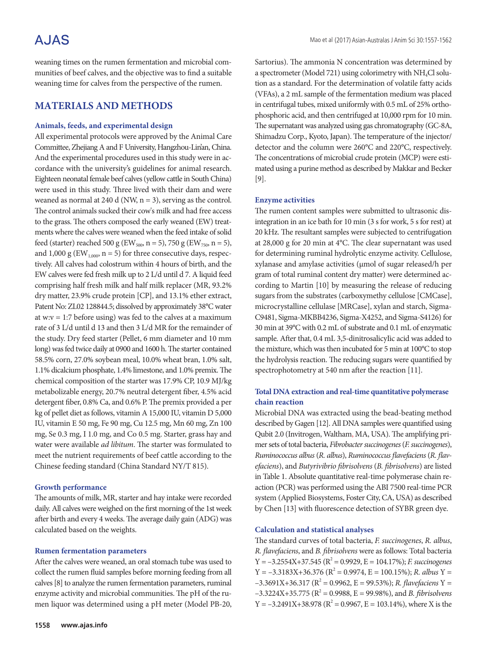## **AJAS**

weaning times on the rumen fermentation and microbial communities of beef calves, and the objective was to find a suitable weaning time for calves from the perspective of the rumen.

## **MATERIALS AND METHODS**

#### **Animals, feeds, and experimental design**

All experimental protocols were approved by the Animal Care Committee, Zhejiang A and F University, Hangzhou-Lin'an, China. And the experimental procedures used in this study were in accordance with the university's guidelines for animal research. Eighteen neonatal female beef calves (yellow cattle in South China) were used in this study. Three lived with their dam and were weaned as normal at 240 d (NW,  $n = 3$ ), serving as the control. The control animals sucked their cow's milk and had free access to the grass. The others composed the early weaned (EW) treatments where the calves were weaned when the feed intake of solid feed (starter) reached 500 g (EW<sub>500</sub>, n = 5), 750 g (EW<sub>750</sub>, n = 5), and 1,000 g (EW<sub>1,000</sub>, n = 5) for three consecutive days, respectively. All calves had colostrum within 4 hours of birth, and the EW calves were fed fresh milk up to 2 L/d until d 7. A liquid feed comprising half fresh milk and half milk replacer (MR, 93.2% dry matter, 23.9% crude protein [CP], and 13.1% ether extract, Patent No: ZL02 128844.5; dissolved by approximately 38°C water at w: $v = 1:7$  before using) was fed to the calves at a maximum rate of 3 L/d until d 13 and then 3 L/d MR for the remainder of the study. Dry feed starter (Pellet, 6 mm diameter and 10 mm long) was fed twice daily at 0900 and 1600 h. The starter contained 58.5% corn, 27.0% soybean meal, 10.0% wheat bran, 1.0% salt, 1.1% dicalcium phosphate, 1.4% limestone, and 1.0% premix. The chemical composition of the starter was 17.9% CP, 10.9 MJ/kg metabolizable energy, 20.7% neutral detergent fiber, 4.5% acid detergent fiber, 0.8% Ca, and 0.6% P. The premix provided a per kg of pellet diet as follows, vitamin A 15,000 IU, vitamin D 5,000 IU, vitamin E 50 mg, Fe 90 mg, Cu 12.5 mg, Mn 60 mg, Zn 100 mg, Se 0.3 mg, I 1.0 mg, and Co 0.5 mg. Starter, grass hay and water were available *ad libitum*. The starter was formulated to meet the nutrient requirements of beef cattle according to the Chinese feeding standard (China Standard NY/T 815).

## **Growth performance**

The amounts of milk, MR, starter and hay intake were recorded daily. All calves were weighed on the first morning of the 1st week after birth and every 4 weeks. The average daily gain (ADG) was calculated based on the weights.

### **Rumen fermentation parameters**

After the calves were weaned, an oral stomach tube was used to collect the rumen fluid samples before morning feeding from all calves [8] to analyze the rumen fermentation parameters, ruminal enzyme activity and microbial communities. The pH of the rumen liquor was determined using a pH meter (Model PB-20, Sartorius). The ammonia N concentration was determined by a spectrometer (Model 721) using colorimetry with NH<sub>4</sub>Cl solution as a standard. For the determination of volatile fatty acids (VFAs), a 2 mL sample of the fermentation medium was placed in centrifugal tubes, mixed uniformly with 0.5 mL of 25% orthophosphoric acid, and then centrifuged at 10,000 rpm for 10 min. The supernatant was analyzed using gas chromatography (GC-8A, Shimadzu Corp., Kyoto, Japan). The temperature of the injector/ detector and the column were 260°C and 220°C, respectively. The concentrations of microbial crude protein (MCP) were estimated using a purine method as described by Makkar and Becker [9].

#### **Enzyme activities**

The rumen content samples were submitted to ultrasonic disintegration in an ice bath for 10 min (3 s for work, 5 s for rest) at 20 kHz. The resultant samples were subjected to centrifugation at 28,000 g for 20 min at 4°C. The clear supernatant was used for determining ruminal hydrolytic enzyme activity. Cellulose, xylanase and amylase activities (μmol of sugar released/h per gram of total ruminal content dry matter) were determined according to Martin [10] by measuring the release of reducing sugars from the substrates (carboxymethy cellulose [CMCase], microcrystalline cellulase [MRCase], xylan and starch, Sigma-C9481, Sigma-MKBB4236, Sigma-X4252, and Sigma-S4126) for 30 min at 39°C with 0.2 mL of substrate and 0.1 mL of enzymatic sample. After that, 0.4 mL 3,5-dinitrosalicyIic acid was added to the mixture, which was then incubated for 5 min at 100°C to stop the hydrolysis reaction. The reducing sugars were quantified by spectrophotometry at 540 nm after the reaction [11].

## **Total DNA extraction and real-time quantitative polymerase chain reaction**

Microbial DNA was extracted using the bead-beating method described by Gagen [12]. All DNA samples were quantified using Qubit 2.0 (Invitrogen, Waltham, MA, USA). The amplifying primer sets of total bacteria, *Fibrobacter succinogenes* (*F. succinogenes*), *Ruminococcus albus* (*R. albus*), *Ruminococcus flavefaciens* (*R. flavefaciens*), and *Butyrivibrio fibrisolvens* (*B. fibrisolvens*) are listed in Table 1. Absolute quantitative real-time polymerase chain reaction (PCR) was performed using the ABI 7500 real-time PCR system (Applied Biosystems, Foster City, CA, USA) as described by Chen [13] with fluorescence detection of SYBR green dye.

### **Calculation and statistical analyses**

The standard curves of total bacteria, *F. succinogenes*, *R. albus*, *R. flavefaciens*, and *B. fibrisolvens* were as follows: Total bacteria  $Y = -3.2554X + 37.545$  ( $R^2 = 0.9929$ ,  $E = 104.17\%$ ); *F. succinogenes*  $Y = -3.3183X+36.376$  ( $R^2 = 0.9974$ ,  $E = 100.15\%$ ); *R. albus*  $Y =$  $-3.3691X+36.317$  ( $R^2 = 0.9962$ ,  $E = 99.53\%$ ); *R. flavefaciens*  $Y =$  $-3.3224X+35.775$  ( $R^2 = 0.9988$ , E = 99.98%), and *B. fibrisolvens* Y =  $-3.2491X+38.978$  (R<sup>2</sup> = 0.9967, E = 103.14%), where X is the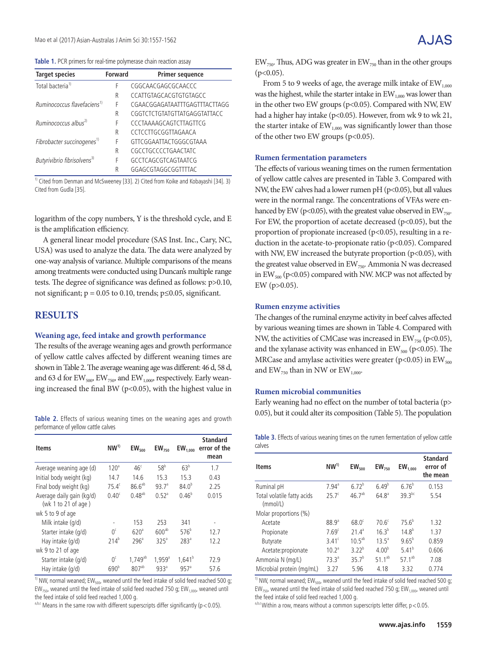**Table 1.** PCR primers for real-time polymerase chain reaction assay

| <b>Target species</b>                   | <b>Forward</b> | <b>Primer sequence</b>        |
|-----------------------------------------|----------------|-------------------------------|
| Total bacteria <sup>1)</sup>            | F              | CGGCAACGAGCGCAACCC            |
|                                         | R              | CCATTGTAGCACGTGTGTAGCC        |
| Ruminococcus flavefaciens <sup>1)</sup> | F              | CGAACGGAGATAATTTGAGTTTACTTAGG |
|                                         | R              | CGGTCTCTGTATGTTATGAGGTATTACC  |
| Ruminococcus albus <sup>2)</sup>        |                | CCCTAAAAGCAGTCTTAGTTCG        |
|                                         | R              | CCTCCTTGCGGTTAGAACA           |
| Fibrobacter succinogenes <sup>1)</sup>  | F              | GTTCGGAATTACTGGGCGTAAA        |
|                                         | R              | CGCCTGCCCCTGAACTATC           |
| Butyrivibrio fibrisolvens <sup>3)</sup> | F              | GCCTCAGCGTCAGTAATCG           |
|                                         | R              | GGAGCGTAGGCGGTTTTAC           |

<sup>1)</sup> Cited from Denman and McSweeney [33]. 2) Cited from Koike and Kobayashi [34]. 3) Cited from Gudla [35].

logarithm of the copy numbers, Y is the threshold cycle, and E is the amplification efficiency.

A general linear model procedure (SAS Inst. Inc., Cary, NC, USA) was used to analyze the data. The data were analyzed by one-way analysis of variance. Multiple comparisons of the means among treatments were conducted using Duncan's multiple range tests. The degree of significance was defined as follows: p>0.10, not significant;  $p = 0.05$  to 0.10, trends;  $p \le 0.05$ , significant.

## **RESULTS**

#### **Weaning age, feed intake and growth performance**

The results of the average weaning ages and growth performance of yellow cattle calves affected by different weaning times are shown in Table 2. The average weaning age was different: 46 d, 58 d, and 63 d for  $EW_{500}$ ,  $EW_{750}$ , and  $EW_{1,000}$ , respectively. Early weaning increased the final BW ( $p$ <0.05), with the highest value in

**Table 2.** Effects of various weaning times on the weaning ages and growth performance of yellow cattle calves

| Items                                            | NW <sup>1</sup>   | $\mathsf{EW}_{\mathsf{500}}$ | $EW_{750}$           | $EW_{1,000}$       | <b>Standard</b><br>error of the<br>mean |
|--------------------------------------------------|-------------------|------------------------------|----------------------|--------------------|-----------------------------------------|
| Average weaning age (d)                          | 120 <sup>a</sup>  | 46 <sup>c</sup>              | 58 <sup>b</sup>      | 63 <sup>b</sup>    | 1.7                                     |
| Initial body weight (kg)                         | 14.7              | 14.6                         | 15.3                 | 15.3               | 0.43                                    |
| Final body weight (kg)                           | $75.4^c$          | $86.6^{ab}$                  | 93.7 <sup>a</sup>    | $84.0^{b}$         | 2.25                                    |
| Average daily gain (kg/d)<br>(wk 1 to 21 of age) | 0.40 <sup>c</sup> | $0.48^{ab}$                  | 0.52 <sup>a</sup>    | $0.46^{b}$         | 0.015                                   |
| wk 5 to 9 of age                                 |                   |                              |                      |                    |                                         |
| Milk intake (g/d)                                |                   | 153                          | 253                  | 341                |                                         |
| Starter intake (q/d)                             | 0 <sup>c</sup>    | 620 <sup>a</sup>             | 600 <sup>ab</sup>    | 576 <sup>b</sup>   | 12.7                                    |
| Hay intake (g/d)                                 | $714^{b}$         | 296 <sup>a</sup>             | 325 <sup>a</sup>     | 283 <sup>a</sup>   | 12.2                                    |
| wk 9 to 21 of age                                |                   |                              |                      |                    |                                         |
| Starter intake (q/d)                             | 0 <sup>c</sup>    | $1.749^{ab}$                 | $1.959$ <sup>a</sup> | 1.641 <sup>b</sup> | 72.9                                    |
| Hay intake (g/d)                                 | 690 <sup>b</sup>  | 807 <sup>ab</sup>            | 933 <sup>a</sup>     | $957$ <sup>a</sup> | 57.6                                    |

<sup>1)</sup> NW, normal weaned; EW<sub>500</sub>, weaned until the feed intake of solid feed reached 500 g;  $EW_{750}$ , weaned until the feed intake of solid feed reached 750 g; EW<sub>1,000</sub>, weaned until the feed intake of solid feed reached 1,000 g.

 $a,b,c$  Means in the same row with different superscripts differ significantly ( $p < 0.05$ ).

 $EW_{750}$ . Thus, ADG was greater in  $EW_{750}$  than in the other groups  $(p<0.05)$ .

From 5 to 9 weeks of age, the average milk intake of  $EW_{1,000}$ was the highest, while the starter intake in  $EW<sub>1,000</sub>$  was lower than in the other two EW groups (p<0.05). Compared with NW, EW had a higher hay intake (p<0.05). However, from wk 9 to wk 21, the starter intake of  $EW_{1,000}$  was significantly lower than those of the other two EW groups  $(p<0.05)$ .

#### **Rumen fermentation parameters**

The effects of various weaning times on the rumen fermentation of yellow cattle calves are presented in Table 3. Compared with NW, the EW calves had a lower rumen pH ( $p$ <0.05), but all values were in the normal range. The concentrations of VFAs were enhanced by EW (p<0.05), with the greatest value observed in  $EW_{750}$ . For EW, the proportion of acetate decreased ( $p$ <0.05), but the proportion of propionate increased ( $p<0.05$ ), resulting in a reduction in the acetate-to-propionate ratio (p<0.05). Compared with NW, EW increased the butyrate proportion ( $p$ <0.05), with the greatest value observed in EW<sub>750</sub>. Ammonia N was decreased in  $EW_{500}$  (p<0.05) compared with NW. MCP was not affected by EW (p>0.05).

#### **Rumen enzyme activities**

The changes of the ruminal enzyme activity in beef calves affected by various weaning times are shown in Table 4. Compared with NW, the activities of CMCase was increased in  $EW_{750}$  (p<0.05), and the xylanase activity was enhanced in  $EW_{500}$  (p<0.05). The MRCase and amylase activities were greater ( $p$ <0.05) in EW<sub>500</sub> and  $EW_{750}$  than in NW or EW<sub>1,000</sub>.

#### **Rumen microbial communities**

Early weaning had no effect on the number of total bacteria (p> 0.05), but it could alter its composition (Table 5). The population

**Table 3.** Effects of various weaning times on the rumen fermentation of yellow cattle calves

| <b>Items</b>                           | NW <sup>1</sup>   | EW <sub>500</sub> | EW <sub>750</sub>  | $EW_{1,000}$       | <b>Standard</b><br>error of<br>the mean |
|----------------------------------------|-------------------|-------------------|--------------------|--------------------|-----------------------------------------|
| Ruminal pH                             | $7.94^{\circ}$    | $6.72^{b}$        | $6.49^{b}$         | $6.76^{b}$         | 0.153                                   |
| Total volatile fatty acids<br>(mmol/L) | $25.7^c$          | $46.7^{ab}$       | $64.8^{\circ}$     | $39.3^{bc}$        | 5.54                                    |
| Molar proportions (%)                  |                   |                   |                    |                    |                                         |
| Acetate                                | $88.9^{a}$        | $68.0^{\circ}$    | 70.6 <sup>c</sup>  | $75.6^{b}$         | 1.32                                    |
| Propionate                             | 7.69 <sup>c</sup> | 21.4 <sup>a</sup> | $16.3^{b}$         | $14.8^{b}$         | 1.37                                    |
| <b>Butyrate</b>                        | 3.41 <sup>c</sup> | $10.5^{ab}$       | $13.5^a$           | $9.65^{b}$         | 0.859                                   |
| Acetate:propionate                     | 10.2 <sup>a</sup> | $3.22^{b}$        | $4.00^{b}$         | $5.41^{b}$         | 0.606                                   |
| Ammonia N (mg/L)                       | 73.3 <sup>a</sup> | $35.7^{b}$        | 51.1 <sup>ab</sup> | 57 1 <sup>ab</sup> | 7.08                                    |
| Microbial protein (mg/mL)              | 3.27              | 5.96              | 4.18               | 3.32               | 0.774                                   |

<sup>1)</sup> NW, normal weaned; EW<sub>500</sub>, weaned until the feed intake of solid feed reached 500 g; EW<sub>750</sub>, weaned until the feed intake of solid feed reached 750 g; EW<sub>1,000</sub>, weaned until the feed intake of solid feed reached 1,000 g.

 $a,b,c$  Within a row, means without a common superscripts letter differ,  $p < 0.05$ .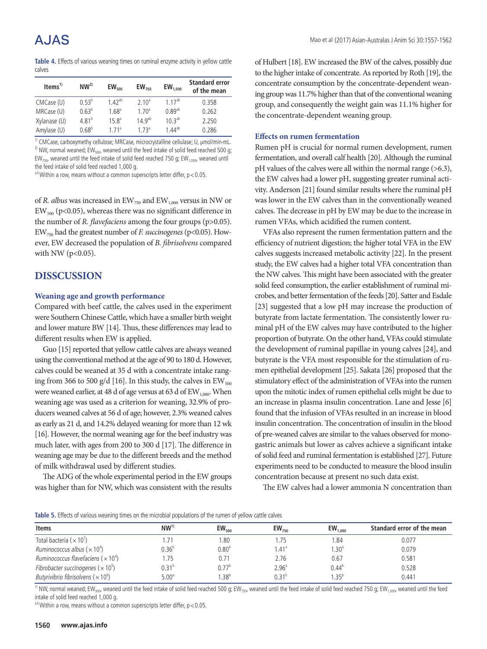Table 4. Effects of various weaning times on ruminal enzyme activity in yellow cattle calves

| Items $1$    | NW <sup>2</sup> | EW <sub>500</sub> | EW <sub>750</sub> | $EW_{1,000}$ | <b>Standard error</b><br>of the mean |
|--------------|-----------------|-------------------|-------------------|--------------|--------------------------------------|
| CMCase (U)   | $0.53^{b}$      | $1.42^{ab}$       | 2.10 <sup>a</sup> | $1.17^{ab}$  | 0.358                                |
| MRCase (U)   | $0.63^{b}$      | 1.68 <sup>a</sup> | 1.70 <sup>a</sup> | $0.89^{ab}$  | 0.262                                |
| Xylanase (U) | $4.81^{b}$      | 15.8 <sup>a</sup> | $14.9^{ab}$       | $10.3^{ab}$  | 2.250                                |
| Amylase (U)  | $0.68^{b}$      | 171 <sup>a</sup>  | 173 <sup>a</sup>  | $1.44^{ab}$  | 0.286                                |

1) CMCase, carboxymethy cellulose; MRCase, microcrystalline cellulase; U, µmol/min·mL.  $^{2)}$  NW, normal weaned; EW<sub>500</sub>, weaned until the feed intake of solid feed reached 500 g;  $EW_{750}$ , weaned until the feed intake of solid feed reached 750 g;  $EW_{1,000}$ , weaned until the feed intake of solid feed reached 1,000 g.

a,b Within a row, means without a common superscripts letter differ,  $p < 0.05$ .

of *R. albus* was increased in EW<sub>750</sub> and EW<sub>1,000</sub> versus in NW or  $EW_{500}$  (p<0.05), whereas there was no significant difference in the number of *R. flavefaciens* among the four groups (p>0.05). EW750 had the greatest number of *F. succinogenes* (p<0.05). However, EW decreased the population of *B. fibrisolvens* compared with NW ( $p<0.05$ ).

## **DISSCUSSION**

#### **Weaning age and growth performance**

Compared with beef cattle, the calves used in the experiment were Southern Chinese Cattle, which have a smaller birth weight and lower mature BW [14]. Thus, these differences may lead to different results when EW is applied.

Guo [15] reported that yellow cattle calves are always weaned using the conventional method at the age of 90 to 180 d. However, calves could be weaned at 35 d with a concentrate intake ranging from 366 to 500 g/d [16]. In this study, the calves in  $EW_{500}$ were weaned earlier, at 48 d of age versus at 63 d of  $EW_{1,000}$ . When weaning age was used as a criterion for weaning, 32.9% of producers weaned calves at 56 d of age; however, 2.3% weaned calves as early as 21 d, and 14.2% delayed weaning for more than 12 wk [16]. However, the normal weaning age for the beef industry was much later, with ages from 200 to 300 d [17]. The difference in weaning age may be due to the different breeds and the method of milk withdrawal used by different studies.

The ADG of the whole experimental period in the EW groups was higher than for NW, which was consistent with the results of Hulbert [18]. EW increased the BW of the calves, possibly due to the higher intake of concentrate. As reported by Roth [19], the concentrate consumption by the concentrate-dependent weaning group was 11.7% higher than that of the conventional weaning group, and consequently the weight gain was 11.1% higher for the concentrate-dependent weaning group.

#### **Effects on rumen fermentation**

Rumen pH is crucial for normal rumen development, rumen fermentation, and overall calf health [20]. Although the ruminal pH values of the calves were all within the normal range (>6.3), the EW calves had a lower pH, suggesting greater ruminal activity. Anderson [21] found similar results where the ruminal pH was lower in the EW calves than in the conventionally weaned calves. The decrease in pH by EW may be due to the increase in rumen VFAs, which acidified the rumen content.

VFAs also represent the rumen fermentation pattern and the efficiency of nutrient digestion; the higher total VFA in the EW calves suggests increased metabolic activity [22]. In the present study, the EW calves had a higher total VFA concentration than the NW calves. This might have been associated with the greater solid feed consumption, the earlier establishment of ruminal microbes, and better fermentation of the feeds [20]. Satter and Esdale [23] suggested that a low pH may increase the production of butyrate from lactate fermentation. The consistently lower ruminal pH of the EW calves may have contributed to the higher proportion of butyrate. On the other hand, VFAs could stimulate the development of ruminal papillae in young calves [24], and butyrate is the VFA most responsible for the stimulation of rumen epithelial development [25]. Sakata [26] proposed that the stimulatory effect of the administration of VFAs into the rumen upon the mitotic index of rumen epithelial cells might be due to an increase in plasma insulin concentration. Lane and Jesse [6] found that the infusion of VFAs resulted in an increase in blood insulin concentration. The concentration of insulin in the blood of pre-weaned calves are similar to the values observed for monogastric animals but lower as calves achieve a significant intake of solid feed and ruminal fermentation is established [27]. Future experiments need to be conducted to measure the blood insulin concentration because at present no such data exist.

The EW calves had a lower ammonia N concentration than

**Table 5.** Effects of various weaning times on the microbial populations of the rumen of yellow cattle calves

| <b>Items</b>                                           | NW <sup>1</sup>   | EW <sub>500</sub> | EW <sub>750</sub> | $EW_{1.000}$ | Standard error of the mean |
|--------------------------------------------------------|-------------------|-------------------|-------------------|--------------|----------------------------|
| Total bacteria ( $\times$ 10 <sup>'</sup> )            |                   | 1.80              | 1.75              | 1.84         | 0.077                      |
| Ruminococcus albus $(x 104)$                           | $0.36^{b}$        | 0.80 <sup>b</sup> | $1.41^{\circ}$    | $1.30^{a}$   | 0.079                      |
| Ruminococcus flavefaciens ( $\times$ 10 <sup>4</sup> ) | .75               | 0.71              | 2.76              | 0.67         | 0.581                      |
| Fibrobacter succinogenes ( $\times$ 10 <sup>5</sup> )  | 0.31 <sup>b</sup> | $0.77^{b}$        | 2.96 <sup>a</sup> | $0.44^{b}$   | 0.528                      |
| Butyrivibrio fibrisolvens ( $\times 10^6$ )            | 5.00 <sup>a</sup> | $.38^{b}$         | $0.31^{b}$        | $1.35^{b}$   | 0.441                      |

<sup>1)</sup> NW, normal weaned; EW<sub>500</sub>, weaned until the feed intake of solid feed reached 500 g; EW<sub>750</sub>, weaned until the feed intake of solid feed reached 750 g; EW<sub>1,000</sub>, weaned until the feed intake of solid feed reached 1,000 g.

<sup>a,b</sup> Within a row, means without a common superscripts letter differ,  $p < 0.05$ .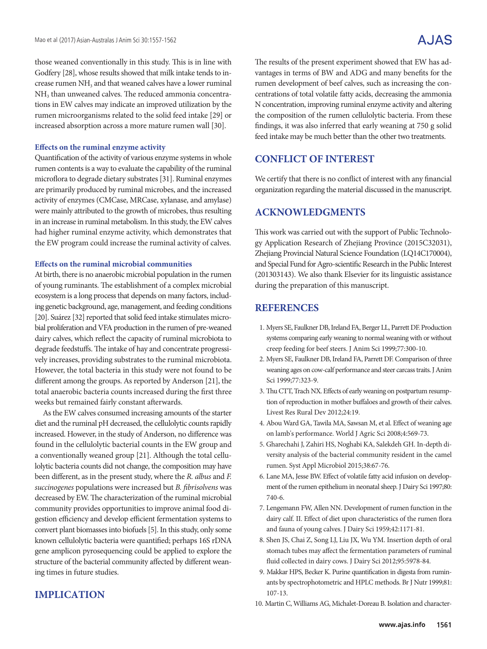those weaned conventionally in this study. This is in line with Godfery [28], whose results showed that milk intake tends to increase rumen NH<sub>3</sub> and that weaned calves have a lower ruminal NH<sub>3</sub> than unweaned calves. The reduced ammonia concentrations in EW calves may indicate an improved utilization by the rumen microorganisms related to the solid feed intake [29] or increased absorption across a more mature rumen wall [30].

#### **Effects on the ruminal enzyme activity**

Quantification of the activity of various enzyme systems in whole rumen contents is a way to evaluate the capability of the ruminal microflora to degrade dietary substrates [31]. Ruminal enzymes are primarily produced by ruminal microbes, and the increased activity of enzymes (CMCase, MRCase, xylanase, and amylase) were mainly attributed to the growth of microbes, thus resulting in an increase in ruminal metabolism. In this study, the EW calves had higher ruminal enzyme activity, which demonstrates that the EW program could increase the ruminal activity of calves.

#### **Effects on the ruminal microbial communities**

At birth, there is no anaerobic microbial population in the rumen of young ruminants. The establishment of a complex microbial ecosystem is a long process that depends on many factors, including genetic background, age, management, and feeding conditions [20]. Suárez [32] reported that solid feed intake stimulates microbial proliferation and VFA production in the rumen of pre-weaned dairy calves, which reflect the capacity of ruminal microbiota to degrade feedstuffs. The intake of hay and concentrate progressively increases, providing substrates to the ruminal microbiota. However, the total bacteria in this study were not found to be different among the groups. As reported by Anderson [21], the total anaerobic bacteria counts increased during the first three weeks but remained fairly constant afterwards.

As the EW calves consumed increasing amounts of the starter diet and the ruminal pH decreased, the cellulolytic counts rapidly increased. However, in the study of Anderson, no difference was found in the cellulolytic bacterial counts in the EW group and a conventionally weaned group [21]. Although the total cellulolytic bacteria counts did not change, the composition may have been different, as in the present study, where the *R. albus* and *F. succinogenes* populations were increased but *B. fibrisolvens* was decreased by EW. The characterization of the ruminal microbial community provides opportunities to improve animal food digestion efficiency and develop efficient fermentation systems to convert plant biomasses into biofuels [5]. In this study, only some known cellulolytic bacteria were quantified; perhaps 16S rDNA gene amplicon pyrosequencing could be applied to explore the structure of the bacterial community affected by different weaning times in future studies.

## **IMPLICATION**

The results of the present experiment showed that EW has advantages in terms of BW and ADG and many benefits for the rumen development of beef calves, such as increasing the concentrations of total volatile fatty acids, decreasing the ammonia N concentration, improving ruminal enzyme activity and altering the composition of the rumen cellulolytic bacteria. From these findings, it was also inferred that early weaning at 750 g solid feed intake may be much better than the other two treatments.

## **CONFLICT OF INTEREST**

We certify that there is no conflict of interest with any financial organization regarding the material discussed in the manuscript.

## **ACKNOWLEDGMENTS**

This work was carried out with the support of Public Technology Application Research of Zhejiang Province (2015C32031), Zhejiang Provincial Natural Science Foundation (LQ14C170004), and Special Fund for Agro-scientific Research in the Public Interest (201303143). We also thank Elsevier for its linguistic assistance during the preparation of this manuscript.

## **REFERENCES**

- 1. Myers SE, Faulkner DB, Ireland FA, Berger LL, Parrett DF. Production systems comparing early weaning to normal weaning with or without creep feeding for beef steers. J Anim Sci 1999;77:300-10.
- 2. Myers SE, Faulkner DB, Ireland FA, Parrett DF. Comparison of three weaning ages on cow-calf performance and steer carcass traits. J Anim Sci 1999;77:323-9.
- 3. Thu CTT, Trach NX. Effects of early weaning on postpartum resumption of reproduction in mother buffaloes and growth of their calves. Livest Res Rural Dev 2012;24:19.
- 4. Abou Ward GA, Tawila MA, Sawsan M, et al. Effect of weaning age on lamb's performance. World J Agric Sci 2008;4:569-73.
- 5. Gharechahi J, Zahiri HS, Noghabi KA, Salekdeh GH. In-depth diversity analysis of the bacterial community resident in the camel rumen. Syst Appl Microbiol 2015;38:67-76.
- 6. Lane MA, Jesse BW. Effect of volatile fatty acid infusion on development of the rumen epithelium in neonatal sheep. J Dairy Sci 1997;80: 740-6.
- 7. Lengemann FW, Allen NN. Development of rumen function in the dairy calf. II. Effect of diet upon characteristics of the rumen flora and fauna of young calves. J Dairy Sci 1959;42:1171-81.
- 8. Shen JS, Chai Z, Song LJ, Liu JX, Wu YM. Insertion depth of oral stomach tubes may affect the fermentation parameters of ruminal fluid collected in dairy cows. J Dairy Sci 2012;95:5978-84.
- 9. Makkar HPS, Becker K. Purine quantification in digesta from ruminants by spectrophotometric and HPLC methods. Br J Nutr 1999;81: 107-13.
- 10. Martin C, Williams AG, Michalet-Doreau B. Isolation and character